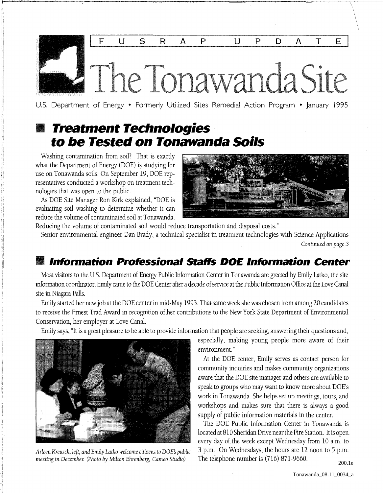

U.S. Department of Energy • Formerly Utilized Sites Remedial Action Program • January 1995

## • **Treatment Technologies to be Tested on Tonawanda Soils**

Washing contamination from soil? That is exactly what the Department of Energy (DOE) is studying for use on Tonawanda soils. On September 19, DOE representatives conducted a workshop on treatment technologies that was open to the public.

As DOE Site Manager Ron Kirk explained, "DOE is evaluating soil washing to determine whether it can reduce the volume of contaminated soil at Tonawanda.



Reducing the volume of contaminated soil would reduce transportation and disposal costs."

Senior environmental engineer Dan Brady, a technical specialist in treatment technologies with Science Applications *Continued on page 3* 

### • **Information Professional Staffs DOE Information Center**

Most visitors to the U.S. Department of Energy Public Information Center in Tonawanda are greeted by Emily Latko, the site information coordinator. Emily came to the DOE Center after a decade of service at the Public Information Office at the Love Canal site in Niagara Falls.

Emily started her new job at the DOE center in mid-May 1993. That same week she was chosen from among 20 candidates to receive the Ernest Trad Award in recognition of her contributions to the New York State Department of Environmental Conservation, her employer at Love Canal.

Emily says, "It is a great pleasure to be able to provide information that people are seeking, answering their questions and,



*Arleen Kreusch, left, and Emily Latko welcome citizens to DOE's public meeting in December. (Photo by Milton Ehrenberg, Cameo Studio)* 

especially, making young people more aware of their environment. "

At the DOE center, Emily serves as contact person for community inquiries and makes community organizations aware that the DOE site manager and others are available to speak to groups who may want to know more about DOE's work in Tonawanda. She helps set up meetings, tours, and workshops and makes sure that there is always a good supply of public information materials in the center.

The DOE Public Information Center in Tonawanda is located at 810 Sheridan Drive near the Fire Station. It is open every day of the week except Wednesday from 10 a.m. to 3 p.m. On Wednesdays, the hours are 12 noon to 5 p.m. The telephone number is (716) 871-9660.

200.1e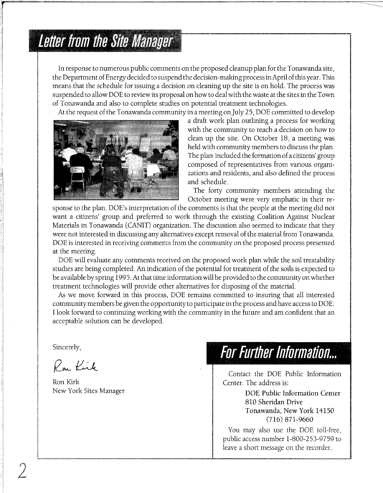# **Letter from the Site Manager**

In response to numerous public comments on the proposed cleanup plan for the Tonawanda site, the Department of Energy decided to suspend the decision-making process in April of this year. This means that the schedule for issuing a decision on cleaning up the site is on hold. The process was suspended to allow DOE to review its proposal on how to deal with the waste at the sites in the Town of Tonawanda and also to complete studies on potential treatment technologies.

At the request of the Tonawanda community in a meeting on July 25, DOE committed to develop



a draft work plan outlining a process for working with the community to reach a decision on how to clean up the site. On October 18, a meeting was held with community members to discuss the plan. The plan included the formation of a citizens' group composed of representatives from various organizations and residents, and also defined the process and schedule.

The forty community members attending the October meeting were very emphatic in their re-

sponse to the plan. DOE's interpretation of the comments is that the people at the meeting did not want a citizens' group and preferred to work through the existing Coalition Against Nuclear Materials in Tonawanda (CANIT) organization. The discussion also seemed to indicate that they were not interested in discussing any alternatives except removal of the material from Tonawanda. DOE is interested in receiving comments from the community on the proposed process presented at the meeting.

DOE will evaluate any comments received on the proposed work plan while the soil treatability studies are being completed. An indication of the potential for treatment of the soils is expected to be available by spring 1995. At that time information will be provided to the community on whether treatment technologies will provide other alternatives for disposing of the material.

As we move forward in this process, DOE remains committed to insuring that all interested community members be given the opportunity to participate in the process and have access to DOE. I look forward to continuing working with the community in the future and am confident that an acceptable solution can be developed.

Sincerely,

2

Rou Kirk

Ron Kirk New York Sites Manager

## **For Further Information...**

Contact the DOE Public Information Center. The address is:

> DOE Public Information Center 810 Sheridan Drive Tonawanda, New York 14150 (716) 871-9660

You may also use the DOE toll-free, public access number 1-800-253-9759 to leave a short message on the recorder.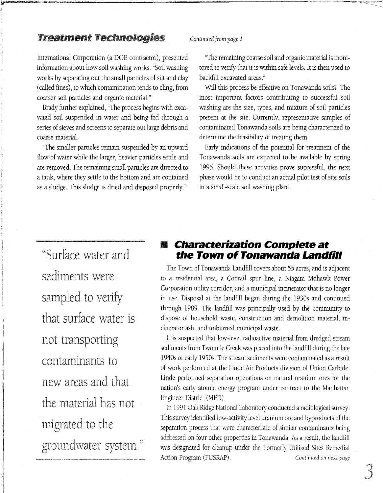#### Treatment Technologies *Continued from page 1*

International Corporation (a DOE contractor), presented information about how soil washing works. "Soil washing works by separating out the small particles of silt and clay (called fines), to which contamination tends to cling, from coarser soil particles and organic material."

Brady further explained, "The process begins with excavated soil suspended in water and being fed through a series of sieves and screens to separate out large debris and coarse material.

"The smaller particles remain suspended by an upward flow of water while the larger, heavier particles settle and are removed. The remaining small particles are directed to a tank, where they settle to the bottom and are contained as a sludge. This sludge is dried and disposed properly."

"The remaining coarse soil and organic material is monitored to verify that it is within safe levels. It is then used to backfill excavated areas."

Will this process be effective on Tonawanda soils? The most important factors contributing to successful soil washing are the size, types, and mixture of soil particles present at the site. Currently, representative samples of contaminated Tonawanda soils are being characterized to determine the feasibility of treating them.

Early indications of the potential for treatment of the Tonawanda soils are expected to be available by spring 1995. Should these activities prove successful, the next phase would be to conduct an actual pilot test of site soils in a small-scale soil washing plant.

"Surface water and sediments were sampled to verify that surface water is not transporting contaminants to new areas and that the material has not migrated to the groundwater system."

'I

 $~\cdot$ 

#### • **Characterization Complete at the Town of Tonawanda Landfill**

The Town of Tonawanda Landfill covers about 55 acres, and is adjacent to a residential area, a Conrail spur line, a Niagara Mohawk Power Corporation utility corridor, and a municipal incinerator that is no longer in use. Disposal at the landfill began during the 1930s and continued through 1989. The landfill was principally used by the community to dispose of household waste, construction and demolition material, incinerator ash, and unburned municipal waste.

It is suspected that low-level radioactive material from dredged stream sediments from Twomile Creek was placed into the landfill during the late 1940s or early 1950s. The stream sediments were contaminated as a result of work performed at the Linde Air Products division of Union Carbide. Linde performed separation operations on natural uranium ores for the nation's early atomic energy program under contract to the Manhattan Engineer District (MED).

In 1991 Oak Ridge National Laboratory conducted a radiological survey. This survey identified low-activity level uranium ore and byproducts of the separation process that were characteristic of similar contaminants being addressed on four other properties in Tonawanda. As a result, the landfill was designated for cleanup under the Formerly Utilized Sites Remedial Action Program (FUSRAP). *Continued on next page*